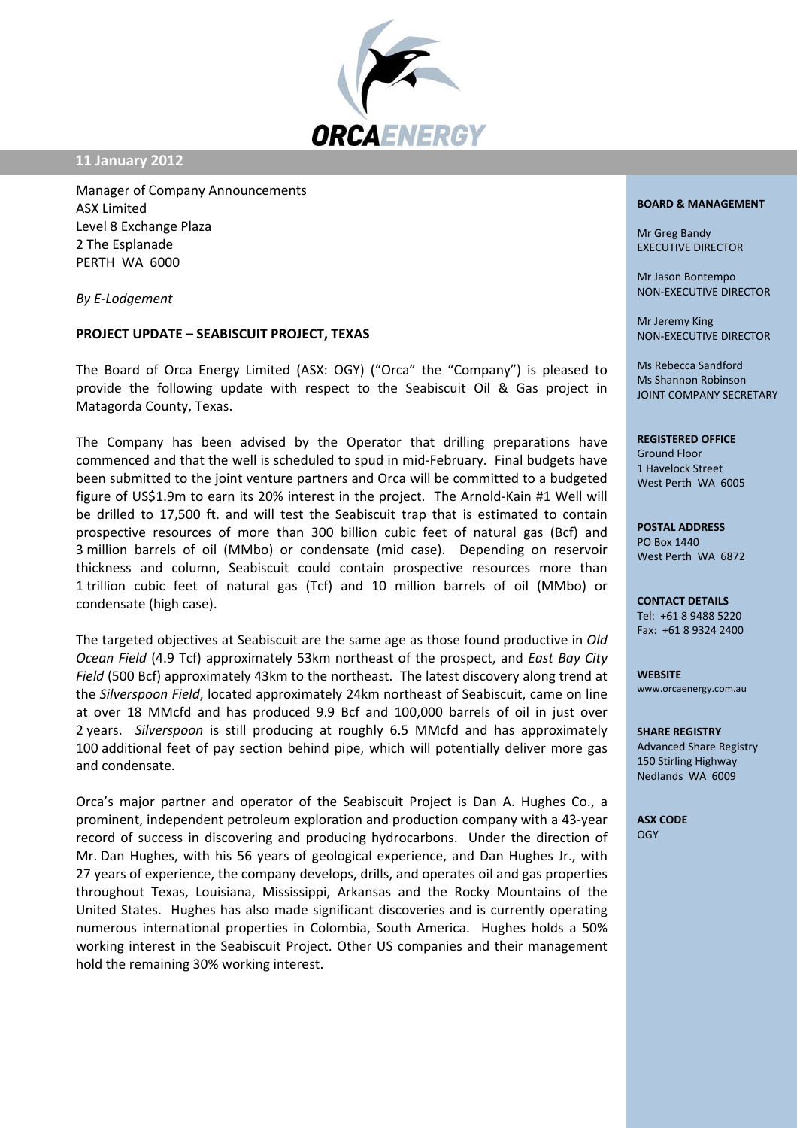

**11 January 2012**

Manager of Company Announcements ASX Limited Level 8 Exchange Plaza 2 The Esplanade PERTH WA 6000

*By E‐Lodgement*

## **PROJECT UPDATE – SEABISCUIT PROJECT, TEXAS**

The Board of Orca Energy Limited (ASX: OGY) ("Orca" the "Company") is pleased to provide the following update with respect to the Seabiscuit Oil & Gas project in Matagorda County, Texas.

The Company has been advised by the Operator that drilling preparations have commenced and that the well is scheduled to spud in mid‐February. Final budgets have been submitted to the joint venture partners and Orca will be committed to a budgeted figure of US\$1.9m to earn its 20% interest in the project. The Arnold‐Kain #1 Well will be drilled to 17,500 ft. and will test the Seabiscuit trap that is estimated to contain prospective resources of more than 300 billion cubic feet of natural gas (Bcf) and 3 million barrels of oil (MMbo) or condensate (mid case). Depending on reservoir thickness and column, Seabiscuit could contain prospective resources more than 1 trillion cubic feet of natural gas (Tcf) and 10 million barrels of oil (MMbo) or condensate (high case).

The targeted objectives at Seabiscuit are the same age as those found productive in *Old Ocean Field* (4.9 Tcf) approximately 53km northeast of the prospect, and *East Bay City Field* (500 Bcf) approximately 43km to the northeast. The latest discovery along trend at the *Silverspoon Field*, located approximately 24km northeast of Seabiscuit, came on line at over 18 MMcfd and has produced 9.9 Bcf and 100,000 barrels of oil in just over 2 years. *Silverspoon* is still producing at roughly 6.5 MMcfd and has approximately 100 additional feet of pay section behind pipe, which will potentially deliver more gas and condensate.

Orca's major partner and operator of the Seabiscuit Project is Dan A. Hughes Co., a prominent, independent petroleum exploration and production company with a 43‐year record of success in discovering and producing hydrocarbons. Under the direction of Mr. Dan Hughes, with his 56 years of geological experience, and Dan Hughes Jr., with 27 years of experience, the company develops, drills, and operates oil and gas properties throughout Texas, Louisiana, Mississippi, Arkansas and the Rocky Mountains of the United States. Hughes has also made significant discoveries and is currently operating numerous international properties in Colombia, South America. Hughes holds a 50% working interest in the Seabiscuit Project. Other US companies and their management hold the remaining 30% working interest.

## **BOARD & MANAGEMENT**

Mr Greg Bandy EXECUTIVE DIRECTOR

Mr Jason Bontempo NON‐EXECUTIVE DIRECTOR

Mr Jeremy King NON‐EXECUTIVE DIRECTOR

Ms Rebecca Sandford Ms Shannon Robinson JOINT COMPANY SECRETARY

## **REGISTERED OFFICE**

Ground Floor 1 Havelock Street West Perth WA 6005

**POSTAL ADDRESS** PO Box 1440 West Perth WA 6872

**CONTACT DETAILS** Tel: +61 8 9488 5220 Fax: +61 8 9324 2400

**WEBSITE** www.orcaenergy.com.au

**SHARE REGISTRY** Advanced Share Registry 150 Stirling Highway Nedlands WA 6009

**ASX CODE OGY**